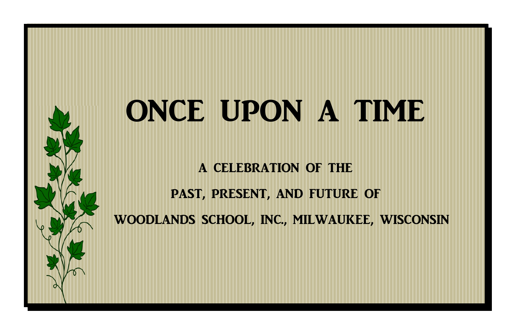## ONCE UPON A TIME

A CELEBRATION OF THE

PAST, PRESENT, AND FUTURE OF

WOODLANDS SCHOOL, INC., MILWAUKEE, WISCONSIN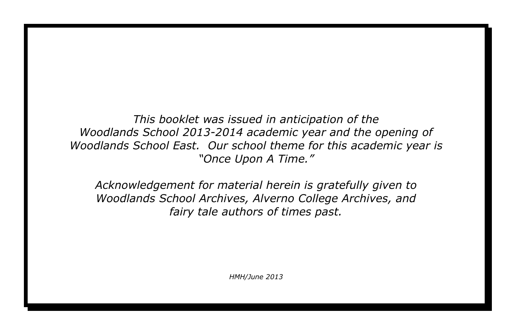*This booklet was issued in anticipation of the Woodlands School 2013-2014 academic year and the opening of Woodlands School East. Our school theme for this academic year is "Once Upon A Time."* 

*Acknowledgement for material herein is gratefully given to Woodlands School Archives, Alverno College Archives, and fairy tale authors of times past.*

*HMH/June 2013*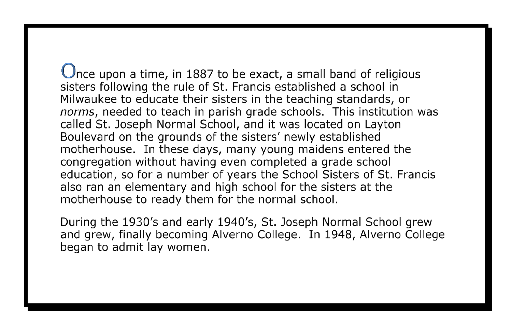$\bigcup$ nce upon a time, in 1887 to be exact, a small band of religious sisters following the rule of St. Francis established a school in Milwaukee to educate their sisters in the teaching standards, or norms, needed to teach in parish grade schools. This institution was called St. Joseph Normal School, and it was located on Layton Boulevard on the grounds of the sisters' newly established motherhouse. In these days, many young maidens entered the congregation without having even completed a grade school education, so for a number of years the School Sisters of St. Francis also ran an elementary and high school for the sisters at the motherhouse to ready them for the normal school.

During the 1930's and early 1940's, St. Joseph Normal School grew and grew, finally becoming Alverno College. In 1948, Alverno College began to admit lay women.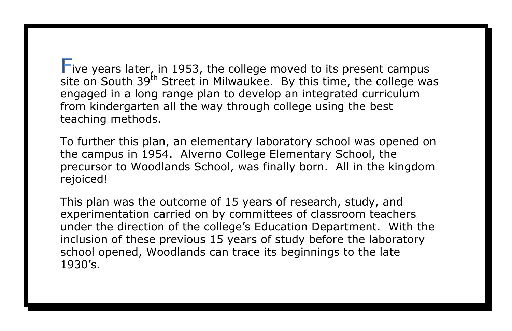Five years later, in 1953, the college moved to its present campus site on South  $39<sup>th</sup>$  Street in Milwaukee. By this time, the college was engaged in a long range plan to develop an integrated curriculum from kindergarten all the way through college using the best teaching methods.

To further this plan, an elementary laboratory school was opened on the campus in 1954. Alverno College Elementary School, the precursor to Woodlands School, was finally born. All in the kingdom rejoiced!

This plan was the outcome of 15 years of research, study, and experimentation carried on by committees of classroom teachers under the direction of the college's Education Department. With the inclusion of these previous 15 years of study before the laboratory school opened, Woodlands can trace its beginnings to the late 1930's.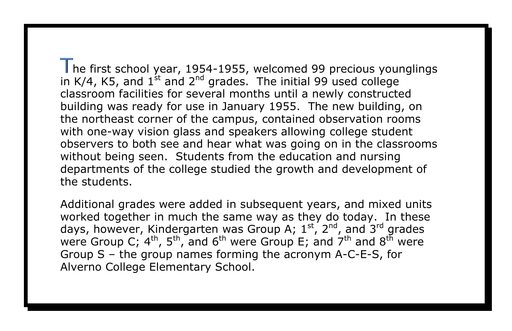he first school year, 1954-1955, welcomed 99 precious younglings in K/4, K5, and  $1^{st}$  and  $2^{nd}$  grades. The initial 99 used college classroom facilities for several months until a newly constructed building was ready for use in January 1955. The new building, on the northeast corner of the campus, contained observation rooms with one-way vision glass and speakers allowing college student observers to both see and hear what was going on in the classrooms without being seen. Students from the education and nursing departments of the college studied the growth and development of the students.

Additional grades were added in subsequent years, and mixed units worked together in much the same way as they do today. In these days, however, Kindergarten was Group A;  $1^{st}$ ,  $2^{nd}$ , and  $3^{rd}$  grades were Group C; 4<sup>th</sup>, 5<sup>th</sup>, and 6<sup>th</sup> were Group E; and 7<sup>th</sup> and 8<sup>th</sup> were Group S – the group names forming the acronym A-C-E-S, for Alverno College Elementary School.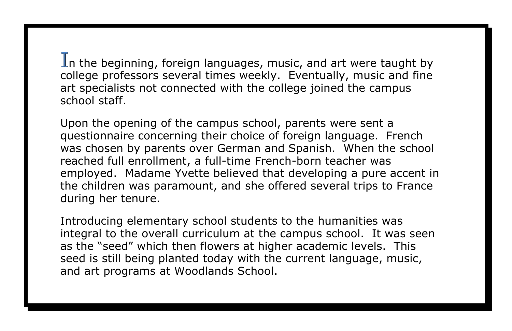In the beginning, foreign languages, music, and art were taught by college professors several times weekly. Eventually, music and fine art specialists not connected with the college joined the campus school staff.

Upon the opening of the campus school, parents were sent a questionnaire concerning their choice of foreign language. French was chosen by parents over German and Spanish. When the school reached full enrollment, a full-time French-born teacher was employed. Madame Yvette believed that developing a pure accent in the children was paramount, and she offered several trips to France during her tenure.

Introducing elementary school students to the humanities was integral to the overall curriculum at the campus school. It was seen as the "seed" which then flowers at higher academic levels. This seed is still being planted today with the current language, music, and art programs at Woodlands School.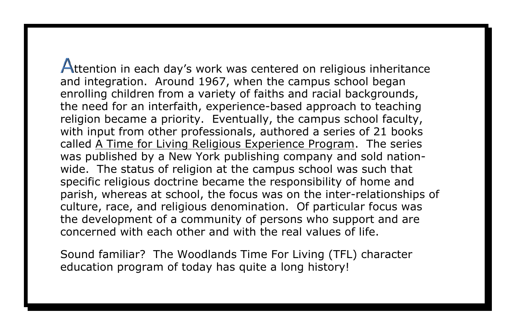**Attention in each day's work was centered on religious inheritance** and integration. Around 1967, when the campus school began enrolling children from a variety of faiths and racial backgrounds, the need for an interfaith, experience-based approach to teaching religion became a priority. Eventually, the campus school faculty, with input from other professionals, authored a series of 21 books called A Time for Living Religious Experience Program. The series was published by a New York publishing company and sold nationwide. The status of religion at the campus school was such that specific religious doctrine became the responsibility of home and parish, whereas at school, the focus was on the inter-relationships of culture, race, and religious denomination. Of particular focus was the development of a community of persons who support and are concerned with each other and with the real values of life.

Sound familiar? The Woodlands Time For Living (TFL) character education program of today has quite a long history!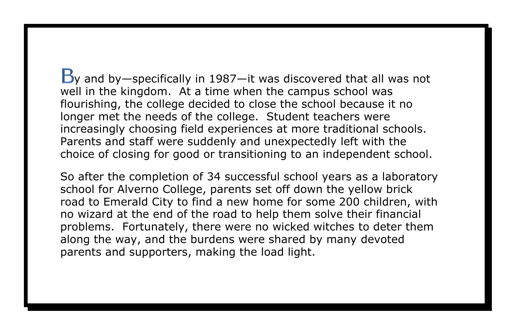$\mathbf{B}_\mathbf{Y}$  and by—specifically in 1987—it was discovered that all was not well in the kingdom. At a time when the campus school was flourishing, the college decided to close the school because it no longer met the needs of the college. Student teachers were increasingly choosing field experiences at more traditional schools. Parents and staff were suddenly and unexpectedly left with the choice of closing for good or transitioning to an independent school.

So after the completion of 34 successful school years as a laboratory school for Alverno College, parents set off down the yellow brick road to Emerald City to find a new home for some 200 children, with no wizard at the end of the road to help them solve their financial problems. Fortunately, there were no wicked witches to deter them along the way, and the burdens were shared by many devoted parents and supporters, making the load light.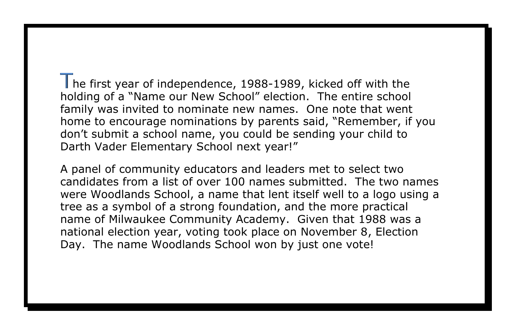he first year of independence, 1988-1989, kicked off with the holding of a "Name our New School" election. The entire school family was invited to nominate new names. One note that went home to encourage nominations by parents said, "Remember, if you don't submit a school name, you could be sending your child to Darth Vader Elementary School next year!"

A panel of community educators and leaders met to select two candidates from a list of over 100 names submitted. The two names were Woodlands School, a name that lent itself well to a logo using a tree as a symbol of a strong foundation, and the more practical name of Milwaukee Community Academy. Given that 1988 was a national election year, voting took place on November 8, Election Day. The name Woodlands School won by just one vote!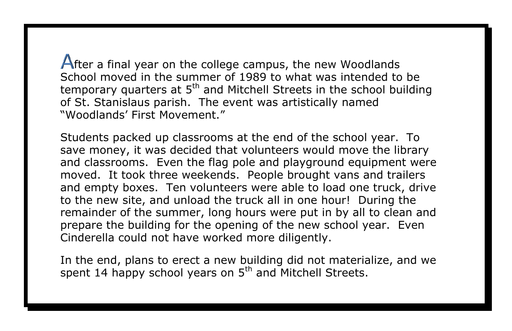After a final year on the college campus, the new Woodlands School moved in the summer of 1989 to what was intended to be temporary quarters at 5<sup>th</sup> and Mitchell Streets in the school building of St. Stanislaus parish. The event was artistically named "Woodlands' First Movement."

Students packed up classrooms at the end of the school year. To save money, it was decided that volunteers would move the library and classrooms. Even the flag pole and playground equipment were moved. It took three weekends. People brought vans and trailers and empty boxes. Ten volunteers were able to load one truck, drive to the new site, and unload the truck all in one hour! During the remainder of the summer, long hours were put in by all to clean and prepare the building for the opening of the new school year. Even Cinderella could not have worked more diligently.

In the end, plans to erect a new building did not materialize, and we spent 14 happy school years on 5<sup>th</sup> and Mitchell Streets.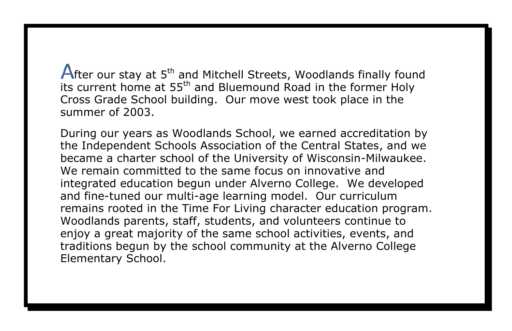fter our stay at 5<sup>th</sup> and Mitchell Streets, Woodlands finally found its current home at 55<sup>th</sup> and Bluemound Road in the former Holy Cross Grade School building. Our move west took place in the summer of 2003.

During our years as Woodlands School, we earned accreditation by the Independent Schools Association of the Central States, and we became a charter school of the University of Wisconsin-Milwaukee. We remain committed to the same focus on innovative and integrated education begun under Alverno College. We developed and fine-tuned our multi-age learning model. Our curriculum remains rooted in the Time For Living character education program. Woodlands parents, staff, students, and volunteers continue to enjoy a great majority of the same school activities, events, and traditions begun by the school community at the Alverno College Elementary School.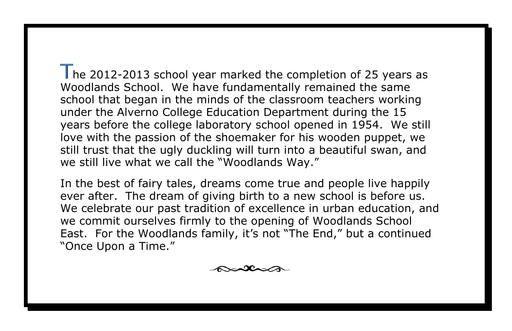he 2012-2013 school year marked the completion of 25 years as Woodlands School. We have fundamentally remained the same school that began in the minds of the classroom teachers working under the Alverno College Education Department during the 15 years before the college laboratory school opened in 1954. We still love with the passion of the shoemaker for his wooden puppet, we still trust that the ugly duckling will turn into a beautiful swan, and we still live what we call the "Woodlands Way."

In the best of fairy tales, dreams come true and people live happily ever after. The dream of giving birth to a new school is before us. We celebrate our past tradition of excellence in urban education, and we commit ourselves firmly to the opening of Woodlands School East. For the Woodlands family, it's not "The End," but a continued "Once Upon a Time."

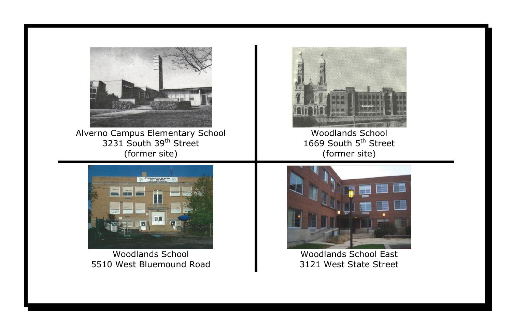

Alverno Campus Elementary School 3231 South 39<sup>th</sup> Street (former site)



Woodlands School 5510 West Bluemound Road



Woodlands School 1669 South 5<sup>th</sup> Street (former site)



Woodlands School East 3121 West State Street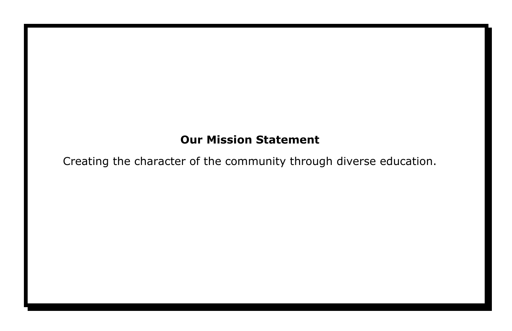## **Our Mission Statement**

Creating the character of the community through diverse education.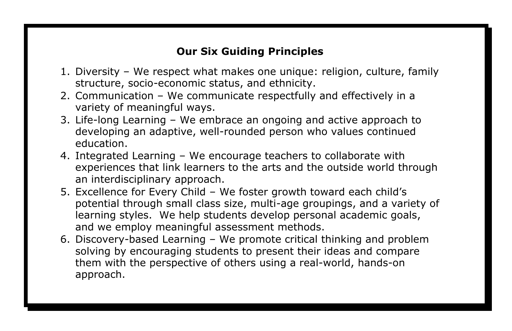## **Our Six Guiding Principles**

- 1. Diversity We respect what makes one unique: religion, culture, family structure, socio-economic status, and ethnicity.
- 2. Communication We communicate respectfully and effectively in a variety of meaningful ways.
- 3. Life-long Learning We embrace an ongoing and active approach to developing an adaptive, well-rounded person who values continued education.
- 4. Integrated Learning We encourage teachers to collaborate with experiences that link learners to the arts and the outside world through an interdisciplinary approach.
- 5. Excellence for Every Child We foster growth toward each child's potential through small class size, multi-age groupings, and a variety of learning styles. We help students develop personal academic goals, and we employ meaningful assessment methods.
- 6. Discovery-based Learning We promote critical thinking and problem solving by encouraging students to present their ideas and compare them with the perspective of others using a real-world, hands-on approach.